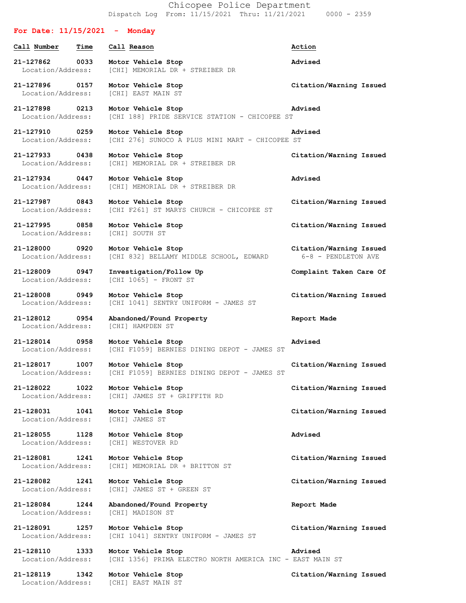Chicopee Police Department Dispatch Log From: 11/15/2021 Thru: 11/21/2021 0000 - 2359

## **For Date: 11/15/2021 - Monday Call Number Time Call Reason Action 21-127862 0033 Motor Vehicle Stop Advised** Location/Address: [CHI] MEMORIAL DR + STREIBER DR **21-127896 0157 Motor Vehicle Stop Citation/Warning Issued** Location/Address: [CHI] EAST MAIN ST **21-127898 0213 Motor Vehicle Stop Advised** Location/Address: [CHI 188] PRIDE SERVICE STATION - CHICOPEE ST **21-127910 0259 Motor Vehicle Stop Advised** Location/Address: [CHI 276] SUNOCO A PLUS MINI MART - CHICOPEE ST **21-127933 0438 Motor Vehicle Stop Citation/Warning Issued** Location/Address: [CHI] MEMORIAL DR + STREIBER DR **21-127934 0447 Motor Vehicle Stop Advised** Location/Address: [CHI] MEMORIAL DR + STREIBER DR **21-127987 0843 Motor Vehicle Stop Citation/Warning Issued** [CHI F261] ST MARYS CHURCH - CHICOPEE ST **21-127995 0858 Motor Vehicle Stop Citation/Warning Issued** Location/Address: [CHI] SOUTH ST **21-128000 0920 Motor Vehicle Stop Citation/Warning Issued** Location/Address: [CHI 832] BELLAMY MIDDLE SCHOOL, EDWARD 6-8 - PENDLETON AVE **21-128009 0947 Investigation/Follow Up Complaint Taken Care Of** Location/Address: [CHI 1065] - FRONT ST **21-128008 0949 Motor Vehicle Stop Citation/Warning Issued** Location/Address: [CHI 1041] SENTRY UNIFORM - JAMES ST **21-128012 0954 Abandoned/Found Property Report Made** Location/Address: [CHI] HAMPDEN ST **21-128014 0958 Motor Vehicle Stop Advised** Location/Address: [CHI F1059] BERNIES DINING DEPOT - JAMES ST **21-128017 1007 Motor Vehicle Stop Citation/Warning Issued** Location/Address: [CHI F1059] BERNIES DINING DEPOT - JAMES ST **21-128022 1022 Motor Vehicle Stop Citation/Warning Issued** Location/Address: [CHI] JAMES ST + GRIFFITH RD **21-128031 1041 Motor Vehicle Stop Citation/Warning Issued** Location/Address: [CHI] JAMES ST **21-128055 1128 Motor Vehicle Stop Advised** Location/Address: [CHI] WESTOVER RD **21-128081 1241 Motor Vehicle Stop Citation/Warning Issued** Location/Address: [CHI] MEMORIAL DR + BRITTON ST **21-128082 1241 Motor Vehicle Stop Citation/Warning Issued** Location/Address: [CHI] JAMES ST + GREEN ST **21-128084 1244 Abandoned/Found Property Report Made** Location/Address: [CHI] MADISON ST **21-128091 1257 Motor Vehicle Stop Citation/Warning Issued** Location/Address: [CHI 1041] SENTRY UNIFORM - JAMES ST **21-128110 1333 Motor Vehicle Stop Advised** Location/Address: [CHI 1356] PRIMA ELECTRO NORTH AMERICA INC - EAST MAIN ST **21-128119 1342 Motor Vehicle Stop Citation/Warning Issued** Location/Address: [CHI] EAST MAIN ST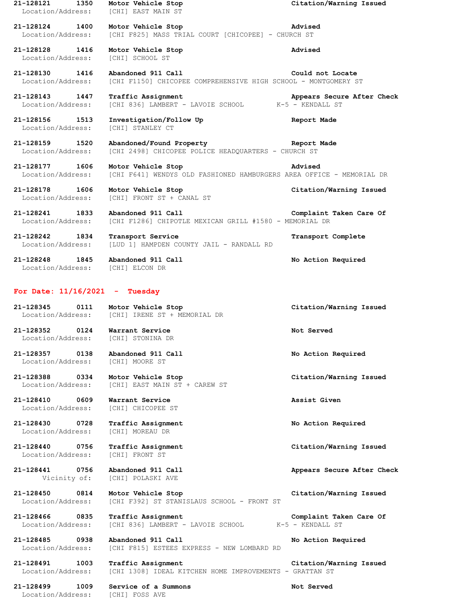| 21-128121<br>1350<br>Location/Address: | Motor Vehicle Stop<br>[CHI] EAST MAIN ST                                                   | Citation/Warning Issued                        |
|----------------------------------------|--------------------------------------------------------------------------------------------|------------------------------------------------|
| 21-128124 1400<br>Location/Address:    | Motor Vehicle Stop<br>[CHI F825] MASS TRIAL COURT [CHICOPEE] - CHURCH ST                   | Advised                                        |
| 21-128128<br>1416<br>Location/Address: | Motor Vehicle Stop<br>[CHI] SCHOOL ST                                                      | Advised                                        |
| 21-128130<br>1416<br>Location/Address: | Abandoned 911 Call<br>[CHI F1150] CHICOPEE COMPREHENSIVE HIGH SCHOOL - MONTGOMERY ST       | Could not Locate                               |
| 21-128143 1447<br>Location/Address:    | Traffic Assignment<br>[CHI 836] LAMBERT - LAVOIE SCHOOL                                    | Appears Secure After Check<br>K-5 - KENDALL ST |
| 21-128156 1513<br>Location/Address:    | Investigation/Follow Up<br>[CHI] STANLEY CT                                                | Report Made                                    |
| 21-128159 1520<br>Location/Address:    | Abandoned/Found Property<br>[CHI 2498] CHICOPEE POLICE HEADQUARTERS - CHURCH ST            | Report Made                                    |
| 21-128177<br>1606<br>Location/Address: | Motor Vehicle Stop<br>[CHI F641] WENDYS OLD FASHIONED HAMBURGERS AREA OFFICE - MEMORIAL DR | Advised                                        |
| 21-128178<br>1606<br>Location/Address: | Motor Vehicle Stop<br>[CHI] FRONT ST + CANAL ST                                            | Citation/Warning Issued                        |
| 21-128241<br>1833<br>Location/Address: | Abandoned 911 Call<br>[CHI F1286] CHIPOTLE MEXICAN GRILL #1580 - MEMORIAL DR               | Complaint Taken Care Of                        |
| 21-128242<br>1834<br>Location/Address: | Transport Service<br>[LUD 1] HAMPDEN COUNTY JAIL - RANDALL RD                              | Transport Complete                             |
| 21-128248<br>1845<br>Location/Address: | Abandoned 911 Call<br>[CHI] ELCON DR                                                       | No Action Required                             |
| For Date: $11/16/2021$ - Tuesday       |                                                                                            |                                                |
|                                        |                                                                                            |                                                |
| 21-128345<br>0111<br>Location/Address: | Motor Vehicle Stop<br>[CHI] IRENE ST + MEMORIAL DR                                         | Citation/Warning Issued                        |
| 21-128352<br>0124<br>Location/Address: | Warrant Service<br>[CHI] STONINA DR                                                        | Not Served                                     |
| 21-128357<br>0138<br>Location/Address: | Abandoned 911 Call<br>[CHI] MOORE ST                                                       | No Action Required                             |
| 21-128388 0334<br>Location/Address:    | Motor Vehicle Stop<br>[CHI] EAST MAIN ST + CAREW ST                                        | Citation/Warning Issued                        |
| 21-128410 0609<br>Location/Address:    | Warrant Service<br>[CHI] CHICOPEE ST                                                       | Assist Given                                   |
| 21-128430 0728<br>Location/Address:    | Traffic Assignment<br>[CHI] MOREAU DR                                                      | No Action Required                             |
| 21-128440 0756<br>Location/Address:    | Traffic Assignment<br>[CHI] FRONT ST                                                       | Citation/Warning Issued                        |
| 21-128441<br>0756<br>Vicinity of:      | Abandoned 911 Call<br>[CHI] POLASKI AVE                                                    | Appears Secure After Check                     |
| 21-128450<br>0814<br>Location/Address: | Motor Vehicle Stop<br>[CHI F392] ST STANISLAUS SCHOOL - FRONT ST                           | Citation/Warning Issued                        |
| 21-128466 0835<br>Location/Address:    | Traffic Assignment<br>[CHI 836] LAMBERT - LAVOIE SCHOOL                                    | Complaint Taken Care Of<br>K-5 - KENDALL ST    |
| 21-128485 0938<br>Location/Address:    | Abandoned 911 Call<br>[CHI F815] ESTEES EXPRESS - NEW LOMBARD RD                           | No Action Required                             |
| 21-128491 1003<br>Location/Address:    | Traffic Assignment<br>[CHI 1308] IDEAL KITCHEN HOME IMPROVEMENTS - GRATTAN ST              | Citation/Warning Issued                        |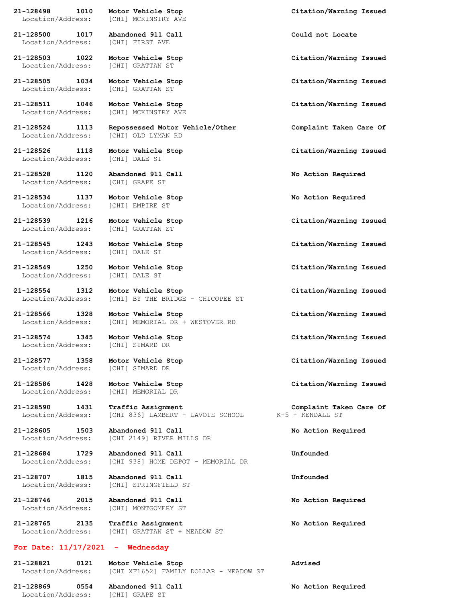**21-128498 1010 Motor Vehicle Stop Citation/Warning Issued** Location/Address: [CHI] MCKINSTRY AVE

**21-128500 1017 Abandoned 911 Call Could not Locate** Location/Address: [CHI] FIRST AVE

Location/Address: [CHI] GRATTAN ST

Location/Address: [CHI] GRATTAN ST

Location/Address: [CHI] OLD LYMAN RD

Location/Address: [CHI] DALE ST

**21-128528 1120 Abandoned 911 Call No Action Required** Location/Address: [CHI] GRAPE ST

**21-128534 1137 Motor Vehicle Stop No Action Required** Location/Address: [CHI] EMPIRE ST

Location/Address: [CHI] GRATTAN ST

**21-128545 1243 Motor Vehicle Stop Citation/Warning Issued** Location/Address: [CHI] DALE ST

**21-128549 1250 Motor Vehicle Stop Citation/Warning Issued** Location/Address: [CHI] DALE ST

Location/Address: [CHI] SIMARD DR

Location/Address: [CHI] SIMARD DR

Location/Address: [CHI] MEMORIAL DR

**21-128707 1815 Abandoned 911 Call Unfounded**

**21-128746 2015 Abandoned 911 Call No Action Required**

**21-128765 2135 Traffic Assignment No Action Required** Location/Address: [CHI] GRATTAN ST + MEADOW ST

## **For Date: 11/17/2021 - Wednesday**

**21-128821 0121 Motor Vehicle Stop Advised** Location/Address: [CHI XF1652] FAMILY DOLLAR - MEADOW ST

**21-128869 0554 Abandoned 911 Call No Action Required** Location/Address: [CHI] GRAPE ST

Location/Address: [CHI] MCKINSTRY AVE

**21-128524 1113 Repossessed Motor Vehicle/Other Complaint Taken Care Of**

**21-128554 1312 Motor Vehicle Stop Citation/Warning Issued** Location/Address: [CHI] BY THE BRIDGE - CHICOPEE ST

**21-128566 1328 Motor Vehicle Stop Citation/Warning Issued** Location/Address: [CHI] MEMORIAL DR + WESTOVER RD

**21-128590 1431 Traffic Assignment Complaint Taken Care Of** Location/Address: [CHI 836] LAMBERT - LAVOIE SCHOOL K-5 - KENDALL ST

**21-128605 1503 Abandoned 911 Call No Action Required** Location/Address: [CHI 2149] RIVER MILLS DR

**21-128684 1729 Abandoned 911 Call Unfounded** Location/Address: [CHI 938] HOME DEPOT - MEMORIAL DR

Location/Address: [CHI] SPRINGFIELD ST

Location/Address: [CHI] MONTGOMERY ST

**21-128503 1022 Motor Vehicle Stop Citation/Warning Issued**

**21-128505 1034 Motor Vehicle Stop Citation/Warning Issued**

**21-128511 1046 Motor Vehicle Stop Citation/Warning Issued**

**21-128526 1118 Motor Vehicle Stop Citation/Warning Issued**

**21-128539 1216 Motor Vehicle Stop Citation/Warning Issued**

**21-128574 1345 Motor Vehicle Stop Citation/Warning Issued**

**21-128577 1358 Motor Vehicle Stop Citation/Warning Issued**

**21-128586 1428 Motor Vehicle Stop Citation/Warning Issued**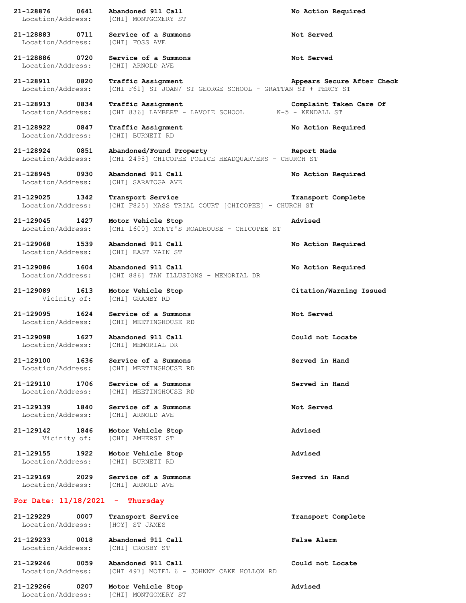| 21-128876<br>0641<br>Location/Address: | Abandoned 911 Call<br>[CHI] MONTGOMERY ST                                         | No Action Required         |
|----------------------------------------|-----------------------------------------------------------------------------------|----------------------------|
| 21-128883<br>0711<br>Location/Address: | Service of a Summons<br>[CHI] FOSS AVE                                            | Not Served                 |
| 21-128886<br>0720<br>Location/Address: | Service of a Summons<br>[CHI] ARNOLD AVE                                          | Not Served                 |
| 21-128911<br>0820<br>Location/Address: | Traffic Assignment<br>[CHI F61] ST JOAN/ ST GEORGE SCHOOL - GRATTAN ST + PERCY ST | Appears Secure After Check |
| 21-128913<br>0834<br>Location/Address: | Traffic Assignment<br>[CHI 836] LAMBERT - LAVOIE SCHOOL K-5 - KENDALL ST          | Complaint Taken Care Of    |
| 21-128922<br>0847<br>Location/Address: | Traffic Assignment<br>[CHI] BURNETT RD                                            | No Action Required         |
| 21-128924<br>0851<br>Location/Address: | Abandoned/Found Property<br>[CHI 2498] CHICOPEE POLICE HEADQUARTERS - CHURCH ST   | Report Made                |
| 21-128945<br>0930<br>Location/Address: | Abandoned 911 Call<br>[CHI] SARATOGA AVE                                          | No Action Required         |
| 21-129025<br>1342<br>Location/Address: | Transport Service<br>[CHI F825] MASS TRIAL COURT [CHICOPEE] - CHURCH ST           | Transport Complete         |
| 21-129045<br>1427<br>Location/Address: | Motor Vehicle Stop<br>[CHI 1600] MONTY'S ROADHOUSE - CHICOPEE ST                  | Advised                    |
| 21-129068<br>1539<br>Location/Address: | Abandoned 911 Call<br>[CHI] EAST MAIN ST                                          | No Action Required         |
| 1604<br>21-129086<br>Location/Address: | Abandoned 911 Call<br>[CHI 886] TAN ILLUSIONS - MEMORIAL DR                       | No Action Required         |
| 21-129089<br>1613<br>Vicinity of:      | Motor Vehicle Stop<br>[CHI] GRANBY RD                                             | Citation/Warning Issued    |
| 21-129095<br>1624<br>Location/Address: | Service of a Summons<br>[CHI] MEETINGHOUSE RD                                     | Not Served                 |
| 21-129098<br>1627<br>Location/Address: | Abandoned 911 Call<br>[CHI] MEMORIAL DR                                           | Could not Locate           |
| 21-129100<br>1636<br>Location/Address: | Service of a Summons<br>[CHI] MEETINGHOUSE RD                                     | Served in Hand             |
| 21-129110<br>1706<br>Location/Address: | Service of a Summons<br>[CHI] MEETINGHOUSE RD                                     | Served in Hand             |
| 21-129139<br>1840<br>Location/Address: | Service of a Summons<br>[CHI] ARNOLD AVE                                          | Not Served                 |
| 21-129142<br>1846<br>Vicinity of:      | Motor Vehicle Stop<br>[CHI] AMHERST ST                                            | Advised                    |
| 21-129155<br>1922<br>Location/Address: | Motor Vehicle Stop<br>[CHI] BURNETT RD                                            | Advised                    |
| 21-129169<br>2029<br>Location/Address: | Service of a Summons<br>[CHI] ARNOLD AVE                                          | Served in Hand             |
| For Date: 11/18/2021                   | Thursday                                                                          |                            |
| 21-129229<br>0007<br>Location/Address: | Transport Service<br>[HOY] ST JAMES                                               | Transport Complete         |
| 21-129233<br>0018<br>Location/Address: | Abandoned 911 Call<br>[CHI] CROSBY ST                                             | False Alarm                |
| 21-129246<br>0059<br>Location/Address: | Abandoned 911 Call<br>[CHI 497] MOTEL 6 - JOHNNY CAKE HOLLOW RD                   | Could not Locate           |
| 21-129266<br>0207<br>Location/Address: | Motor Vehicle Stop<br>[CHI] MONTGOMERY ST                                         | Advised                    |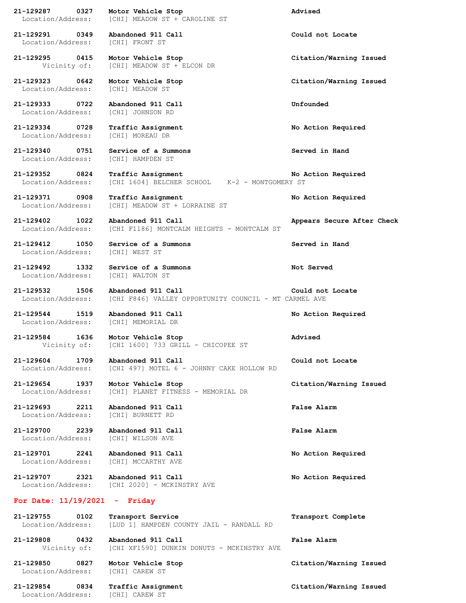**21-129287 0327 Motor Vehicle Stop Advised** Location/Address: [CHI] MEADOW ST + CAROLINE ST **21-129291 0349 Abandoned 911 Call Could not Locate** Location/Address: [CHI] FRONT ST **21-129295 0415 Motor Vehicle Stop Citation/Warning Issued** Vicinity of: [CHI] MEADOW ST + ELCON DR

Location/Address: [CHI] MEADOW ST

**21-129333 0722 Abandoned 911 Call Unfounded** Location/Address: [CHI] JOHNSON RD

**21-129334 0728 Traffic Assignment No Action Required** Location/Address: [CHI] MOREAU DR

**21-129340 0751 Service of a Summons Served in Hand** Location/Address: [CHI] HAMPDEN ST

**21-129412 1050 Service of a Summons Served in Hand** Location/Address: [CHI] WEST ST

**21-129544 1519 Abandoned 911 Call No Action Required**

Location/Address: [CHI] MEMORIAL DR

Vicinity of: [CHI 1600] 733 GRILL - CHICOPEE ST

Location/Address: [CHI 497] MOTEL 6 - JOHNNY CAKE HOLLOW RD

**21-129654 1937 Motor Vehicle Stop Citation/Warning Issued** Location/Address: [CHI] PLANET FITNESS - MEMORIAL DR

**21-129693 2211 Abandoned 911 Call False Alarm** Location/Address: [CHI] BURNETT RD

**21-129700 2239 Abandoned 911 Call False Alarm** Location/Address: [CHI] WILSON AVE

Location/Address: [CHI] MCCARTHY AVE

**21-129707 2321 Abandoned 911 Call No Action Required** Location/Address: [CHI 2020] - MCKINSTRY AVE

## **For Date: 11/19/2021 - Friday**

**21-129755 0102 Transport Service Transport Complete** Location/Address: [LUD 1] HAMPDEN COUNTY JAIL - RANDALL RD **21-129808 0432 Abandoned 911 Call False Alarm**

Vicinity of: [CHI XF1590] DUNKIN DONUTS - MCKINSTRY AVE

**21-129850 0827 Motor Vehicle Stop Citation/Warning Issued** Location/Address: [CHI] CAREW ST

**21-129854 0834 Traffic Assignment Citation/Warning Issued** Location/Address: [CHI] CAREW ST

**21-129323 0642 Motor Vehicle Stop Citation/Warning Issued**

**21-129352 0824 Traffic Assignment No Action Required** Location/Address: [CHI 1604] BELCHER SCHOOL K-2 - MONTGOMERY ST

**21-129371 0908 Traffic Assignment No Action Required** Location/Address: [CHI] MEADOW ST + LORRAINE ST

**21-129402 1022 Abandoned 911 Call Appears Secure After Check** Location/Address: [CHI F1186] MONTCALM HEIGHTS - MONTCALM ST

**21-129492 1332 Service of a Summons Not Served** Location/Address: [CHI] WALTON ST

**21-129532 1506 Abandoned 911 Call Could not Locate** Location/Address: [CHI F846] VALLEY OPPORTUNITY COUNCIL - MT CARMEL AVE

**21-129584 1636 Motor Vehicle Stop Advised**

**21-129604 1709 Abandoned 911 Call Could not Locate**

**21-129701 2241 Abandoned 911 Call No Action Required**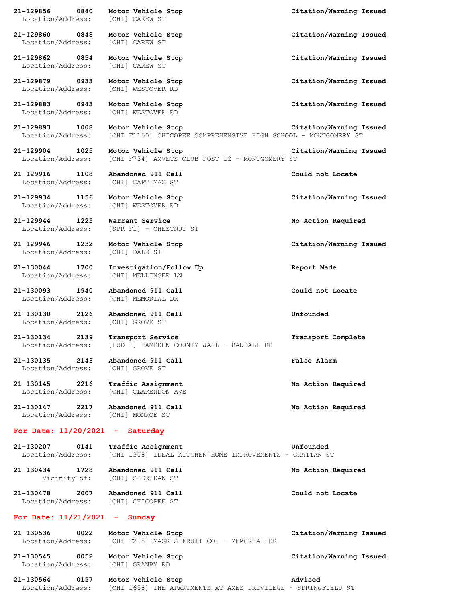| 21-129856 0840 Motor Vehicle Stop<br>Location/Address:                | [CHI] CAREW ST                                                                       | Citation/Warning Issued |
|-----------------------------------------------------------------------|--------------------------------------------------------------------------------------|-------------------------|
| 21-129860 0848<br>Location/Address:                                   | Motor Vehicle Stop<br>[CHI] CAREW ST                                                 | Citation/Warning Issued |
| 21-129862 0854<br>Location/Address:                                   | Motor Vehicle Stop<br>[CHI] CAREW ST                                                 | Citation/Warning Issued |
| 21-129879 0933<br>Location/Address:                                   | Motor Vehicle Stop<br>[CHI] WESTOVER RD                                              | Citation/Warning Issued |
| 21-129883 0943<br>Location/Address:                                   | Motor Vehicle Stop<br>[CHI] WESTOVER RD                                              | Citation/Warning Issued |
| 21-129893 1008<br>Location/Address:                                   | Motor Vehicle Stop<br>[CHI F1150] CHICOPEE COMPREHENSIVE HIGH SCHOOL - MONTGOMERY ST | Citation/Warning Issued |
| 21-129904 1025<br>Location/Address:                                   | Motor Vehicle Stop<br>[CHI F734] AMVETS CLUB POST 12 - MONTGOMERY ST                 | Citation/Warning Issued |
| 21-129916 1108<br>Location/Address: [CHI] CAPT MAC ST                 | Abandoned 911 Call                                                                   | Could not Locate        |
| 21-129934 1156<br>Location/Address:                                   | Motor Vehicle Stop<br>[CHI] WESTOVER RD                                              | Citation/Warning Issued |
| 21-129944 1225<br>Location/Address:                                   | Warrant Service<br>[SPR F1] - CHESTNUT ST                                            | No Action Required      |
| 21-129946 1232<br>Location/Address:                                   | Motor Vehicle Stop<br>[CHI] DALE ST                                                  | Citation/Warning Issued |
| 21-130044 1700<br>Location/Address:                                   | Investigation/Follow Up<br>[CHI] MELLINGER LN                                        | Report Made             |
| 21-130093 1940<br>Location/Address:                                   | Abandoned 911 Call<br>[CHI] MEMORIAL DR                                              | Could not Locate        |
| 21-130130 2126 Abandoned 911 Call<br>Location/Address: [CHI] GROVE ST |                                                                                      | Unfounded               |
| 21-130134<br>2139<br>Location/Address:                                | Transport Service<br>[LUD 1] HAMPDEN COUNTY JAIL - RANDALL RD                        | Transport Complete      |
| 21-130135<br>2143<br>Location/Address:                                | Abandoned 911 Call<br>[CHI] GROVE ST                                                 | False Alarm             |
| 21-130145 2216<br>Location/Address:                                   | <b>Traffic Assignment</b><br>[CHI] CLARENDON AVE                                     | No Action Required      |
| 21-130147<br>2217<br>Location/Address:                                | Abandoned 911 Call<br>[CHI] MONROE ST                                                | No Action Required      |
| For Date: $11/20/2021$ -                                              | Saturday                                                                             |                         |
| 21-130207<br>0141<br>Location/Address:                                | Traffic Assignment<br>[CHI 1308] IDEAL KITCHEN HOME IMPROVEMENTS - GRATTAN ST        | Unfounded               |
| 21-130434<br>1728                                                     | Abandoned 911 Call<br>Vicinity of: [CHI] SHERIDAN ST                                 | No Action Required      |
| 21-130478 2007<br>Location/Address: [CHI] CHICOPEE ST                 | Abandoned 911 Call                                                                   | Could not Locate        |
| For Date: $11/21/2021$ - Sunday                                       |                                                                                      |                         |
| 21-130536<br>0022<br>Location/Address:                                | Motor Vehicle Stop<br>[CHI F218] MAGRIS FRUIT CO. - MEMORIAL DR                      | Citation/Warning Issued |
| 21-130545<br>0052<br>Location/Address:                                | Motor Vehicle Stop<br>[CHI] GRANBY RD                                                | Citation/Warning Issued |

**21-130564 0157 Motor Vehicle Stop Advised** Location/Address: [CHI 1658] THE APARTMENTS AT AMES PRIVILEGE - SPRINGFIELD ST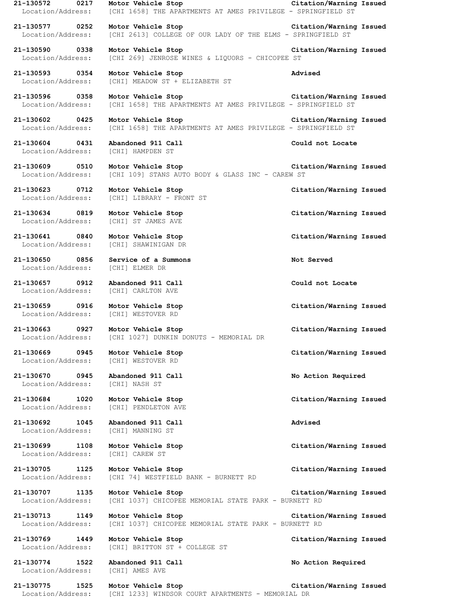**21-130572 0217 Motor Vehicle Stop Citation/Warning Issued** Location/Address: [CHI 1658] THE APARTMENTS AT AMES PRIVILEGE - SPRINGFIELD ST **21-130577 0252 Motor Vehicle Stop Citation/Warning Issued** Location/Address: [CHI 2613] COLLEGE OF OUR LADY OF THE ELMS - SPRINGFIELD ST **21-130590 0338 Motor Vehicle Stop Citation/Warning Issued** Location/Address: [CHI 269] JENROSE WINES & LIQUORS - CHICOPEE ST **21-130593 0354 Motor Vehicle Stop Advised** Location/Address: [CHI] MEADOW ST + ELIZABETH ST **21-130596 0358 Motor Vehicle Stop Citation/Warning Issued** [CHI 1658] THE APARTMENTS AT AMES PRIVILEGE - SPRINGFIELD ST **21-130602 0425 Motor Vehicle Stop Citation/Warning Issued** Location/Address: [CHI 1658] THE APARTMENTS AT AMES PRIVILEGE - SPRINGFIELD ST **21-130604 0431 Abandoned 911 Call Could not Locate** Location/Address: [CHI] HAMPDEN ST **21-130609 0510 Motor Vehicle Stop Citation/Warning Issued** Location/Address: [CHI 109] STANS AUTO BODY & GLASS INC - CAREW ST **21-130623 0712 Motor Vehicle Stop Citation/Warning Issued** Location/Address: [CHI] LIBRARY - FRONT ST **21-130634 0819 Motor Vehicle Stop Citation/Warning Issued** Location/Address: [CHI] ST JAMES AVE **21-130641 0840 Motor Vehicle Stop Citation/Warning Issued** Location/Address: [CHI] SHAWINIGAN DR **21-130650 0856 Service of a Summons Not Served** Location/Address: [CHI] ELMER DR **21-130657 0912 Abandoned 911 Call Could not Locate** Location/Address: [CHI] CARLTON AVE **21-130659 0916 Motor Vehicle Stop Citation/Warning Issued** Location/Address: [CHI] WESTOVER RD **21-130663 0927 Motor Vehicle Stop Citation/Warning Issued** Location/Address: [CHI 1027] DUNKIN DONUTS - MEMORIAL DR **21-130669 0945 Motor Vehicle Stop Citation/Warning Issued** Location/Address: [CHI] WESTOVER RD **21-130670 0945 Abandoned 911 Call No Action Required** Location/Address: [CHI] NASH ST **21-130684 1020 Motor Vehicle Stop Citation/Warning Issued** Location/Address: [CHI] PENDLETON AVE **21-130692 1045 Abandoned 911 Call Advised** Location/Address: [CHI] MANNING ST **21-130699 1108 Motor Vehicle Stop Citation/Warning Issued** Location/Address: [CHI] CAREW ST **21-130705 1125 Motor Vehicle Stop Citation/Warning Issued** Location/Address: [CHI 74] WESTFIELD BANK - BURNETT RD **21-130707 1135 Motor Vehicle Stop Citation/Warning Issued** Location/Address: [CHI 1037] CHICOPEE MEMORIAL STATE PARK - BURNETT RD **21-130713 1149 Motor Vehicle Stop Citation/Warning Issued** Location/Address: [CHI 1037] CHICOPEE MEMORIAL STATE PARK - BURNETT RD **21-130769 1449 Motor Vehicle Stop Citation/Warning Issued** Location/Address: [CHI] BRITTON ST + COLLEGE ST **21-130774 1522 Abandoned 911 Call No Action Required** Location/Address: [CHI] AMES AVE **21-130775 1525 Motor Vehicle Stop Citation/Warning Issued** Location/Address: [CHI 1233] WINDSOR COURT APARTMENTS - MEMORIAL DR